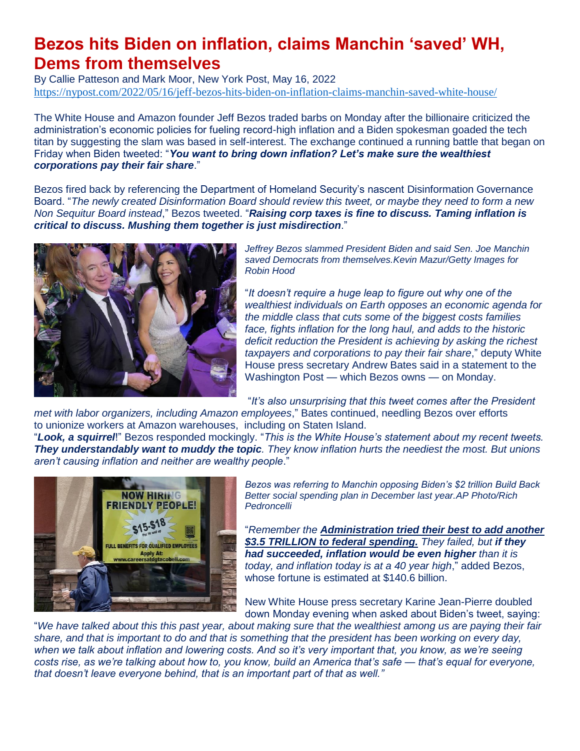## **Bezos hits Biden on inflation, claims Manchin 'saved' WH, Dems from themselves**

By Callie Patteson and Mark Moor, New York Post, May 16, 2022 <https://nypost.com/2022/05/16/jeff-bezos-hits-biden-on-inflation-claims-manchin-saved-white-house/>

The White House and Amazon founder Jeff Bezos traded barbs on Monday after the billionaire criticized the administration's economic policies for fueling record-high inflation and a Biden spokesman goaded the tech titan by suggesting the slam was based in self-interest. The exchange continued a running battle that began on Friday when Biden tweeted: "*You want to bring down inflation? Let's make sure the wealthiest corporations pay their fair share*."

Bezos fired back by referencing the Department of Homeland Security's nascent Disinformation Governance Board. "*The newly created Disinformation Board should review this tweet, or maybe they need to form a new Non Sequitur Board instead*," Bezos tweeted. "*Raising corp taxes is fine to discuss. Taming inflation is critical to discuss. Mushing them together is just misdirection*."



*Jeffrey Bezos slammed President Biden and said Sen. Joe Manchin saved Democrats from themselves.Kevin Mazur/Getty Images for Robin Hood*

"*It doesn't require a huge leap to figure out why one of the wealthiest individuals on Earth opposes an economic agenda for the middle class that cuts some of the biggest costs families face, fights inflation for the long haul, and adds to the historic deficit reduction the President is achieving by asking the richest taxpayers and corporations to pay their fair share*," deputy White House press secretary Andrew Bates said in a [statement to the](https://twitter.com/JStein_WaPo/status/1526001383765417984)  [Washington Post](https://twitter.com/JStein_WaPo/status/1526001383765417984) — which Bezos owns — on Monday.

"*It's also unsurprising that this tweet comes after the President met with labor organizers, including Amazon employees*," Bates continued, needling Bezos over efforts

to unionize workers at Amazon warehouses, including on Staten Island.

"*Look, a squirrel*!" [Bezos responded mockingly.](https://twitter.com/JeffBezos/status/1526239512958865409) "*This is the White House's statement about my recent tweets. They understandably want to muddy the topic. They know inflation hurts the neediest the most. But unions aren't causing inflation and neither are wealthy people*."



*Bezos was referring to Manchin opposing Biden's \$2 trillion Build Back Better social spending plan in December last year.AP Photo/Rich Pedroncelli*

"*Remember the Administration tried their best to add another \$3.5 TRILLION to federal spending. They failed, but if they had succeeded, inflation would be even higher than it is today, and inflation today is at a 40 year high*," added Bezos, whose fortune is estimated at \$140.6 billion.

New White House press secretary Karine Jean-Pierre doubled down Monday evening when asked about Biden's tweet, saying:

"*We have talked about this this past year, about making sure that the wealthiest among us are paying their fair share, and that is important to do and that is something that the president has been working on every day, when we talk about inflation and lowering costs. And so it's very important that, you know, as we're seeing costs rise, as we're talking about how to, you know, build an America that's safe — that's equal for everyone, that doesn't leave everyone behind, that is an important part of that as well."*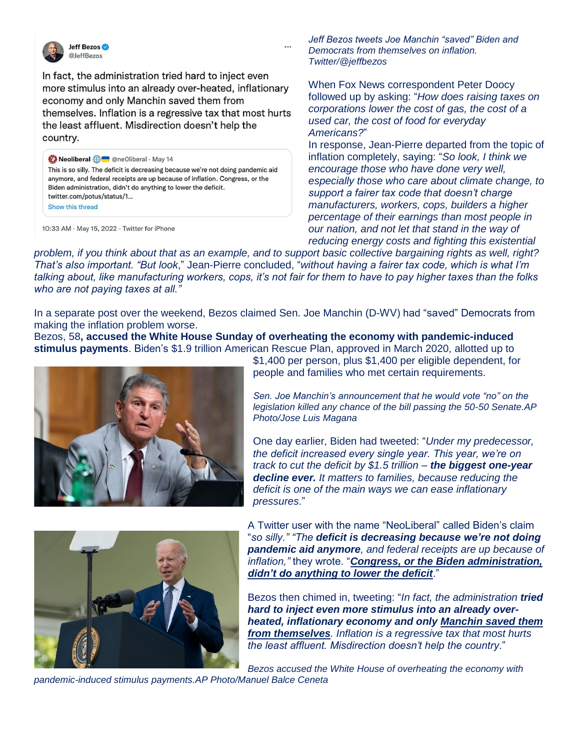

In fact, the administration tried hard to inject even more stimulus into an already over-heated, inflationary economy and only Manchin saved them from themselves. Inflation is a regressive tax that most hurts the least affluent. Misdirection doesn't help the country.

Neoliberal @ @neOliberal · May 14 This is so silly. The deficit is decreasing because we're not doing pandemic aid anymore, and federal receipts are up because of inflation. Congress, or the Biden administration, didn't do anything to lower the deficit. twitter.com/potus/status/1... Show this thread

10:33 AM · May 15, 2022 · Twitter for iPhone

*Jeff Bezos tweets Joe Manchin "saved" Biden and Democrats from themselves on inflation. Twitter/@jeffbezos*

When Fox News correspondent Peter Doocy followed up by asking: "*How does raising taxes on corporations lower the cost of gas, the cost of a used car, the cost of food for everyday Americans?*"

In response, Jean-Pierre departed from the topic of inflation completely, saying: "*So look, I think we encourage those who have done very well, especially those who care about climate change, to support a fairer tax code that doesn't charge manufacturers, workers, cops, builders a higher percentage of their earnings than most people in our nation, and not let that stand in the way of reducing energy costs and fighting this existential* 

*problem, if you think about that as an example, and to support basic collective bargaining rights as well, right? That's also important. "But look*," Jean-Pierre concluded, "*without having a fairer tax code, which is what I'm talking about, like manufacturing workers, cops, it's not fair for them to have to pay higher taxes than the folks who are not paying taxes at all."*

In a separate post over the weekend, Bezos claimed Sen. Joe Manchin (D-WV) had "saved" Democrats from making the inflation problem worse.

Bezos, 58**, accused the White House Sunday of overheating the economy with pandemic-induced stimulus payments**. Biden's \$1.9 trillion American Rescue Plan, approved in March 2020, allotted up to



\$1,400 per person, plus \$1,400 per eligible dependent, for people and families who met certain requirements.

*Sen. Joe Manchin's announcement that he would vote "no" on the legislation killed any chance of the bill passing the 50-50 Senate.AP Photo/Jose Luis Magana*

One day earlier, Biden had tweeted: "*Under my predecessor, the deficit increased every single year. This year, we're on track to cut the deficit by \$1.5 trillion – the biggest one-year decline ever. It matters to families, because reducing the deficit is one of the main ways we can ease inflationary pressures*."



A Twitter user with the name "NeoLiberal" called Biden's claim "*so silly." "The deficit is decreasing because we're not doing pandemic aid anymore, and federal receipts are up because of inflation,"* they wrote. "*Congress, or the Biden administration, didn't do anything to lower the deficit*."

Bezos then chimed in, tweeting: "*In fact, the administration tried hard to inject even more stimulus into an already overheated, inflationary economy and only Manchin saved them from themselves. Inflation is a regressive tax that most hurts the least affluent. Misdirection doesn't help the country*."

*Bezos accused the White House of overheating the economy with* 

*pandemic-induced stimulus payments.AP Photo/Manuel Balce Ceneta*